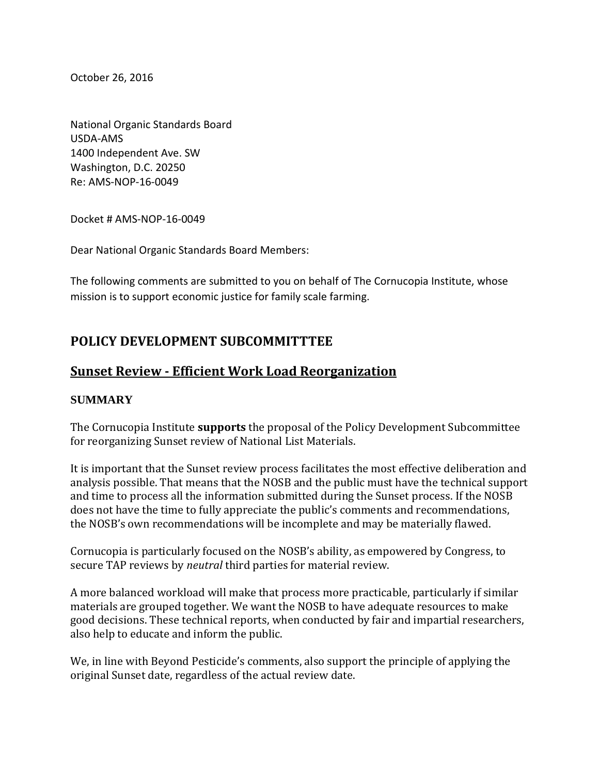October 26, 2016

National Organic Standards Board USDA-AMS 1400 Independent Ave. SW Washington, D.C. 20250 Re: AMS-NOP-16-0049

Docket # AMS-NOP-16-0049

Dear National Organic Standards Board Members:

The following comments are submitted to you on behalf of The Cornucopia Institute, whose mission is to support economic justice for family scale farming.

## **POLICY DEVELOPMENT SUBCOMMITTTEE**

## **Sunset Review - Efficient Work Load Reorganization**

## **SUMMARY**

The Cornucopia Institute **supports** the proposal of the Policy Development Subcommittee for reorganizing Sunset review of National List Materials.

It is important that the Sunset review process facilitates the most effective deliberation and analysis possible. That means that the NOSB and the public must have the technical support and time to process all the information submitted during the Sunset process. If the NOSB does not have the time to fully appreciate the public's comments and recommendations, the NOSB's own recommendations will be incomplete and may be materially flawed.

Cornucopia is particularly focused on the NOSB's ability, as empowered by Congress, to secure TAP reviews by *neutral* third parties for material review.

A more balanced workload will make that process more practicable, particularly if similar materials are grouped together. We want the NOSB to have adequate resources to make good decisions. These technical reports, when conducted by fair and impartial researchers, also help to educate and inform the public.

We, in line with Beyond Pesticide's comments, also support the principle of applying the original Sunset date, regardless of the actual review date.